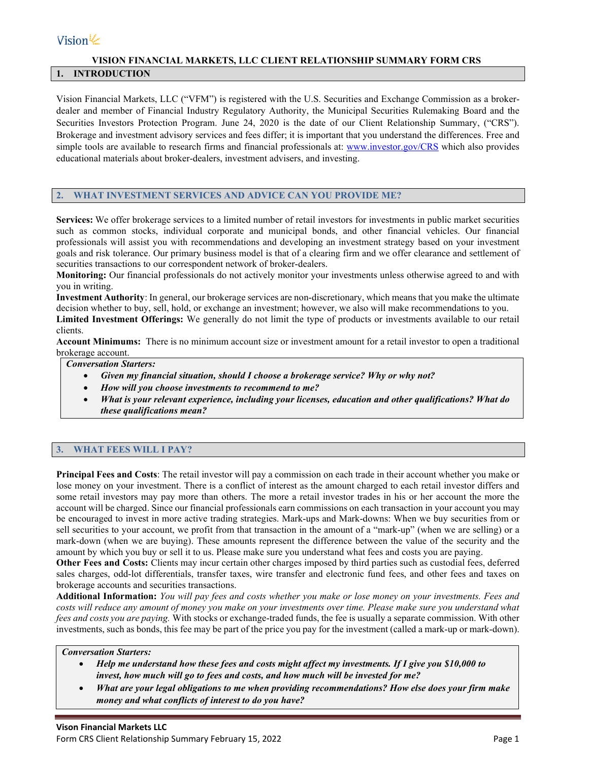# Vision $\ll$

# **VISION FINANCIAL MARKETS, LLC CLIENT RELATIONSHIP SUMMARY FORM CRS**

# **1. INTRODUCTION**

Vision Financial Markets, LLC ("VFM") is registered with the U.S. Securities and Exchange Commission as a brokerdealer and member of Financial Industry Regulatory Authority, the Municipal Securities Rulemaking Board and the Securities Investors Protection Program. June 24, 2020 is the date of our Client Relationship Summary, ("CRS"). Brokerage and investment advisory services and fees differ; it is important that you understand the differences. Free and simple tools are available to research firms and financial professionals at: [www.investor.gov/CRS](http://www.investor.gov/CRS) which also provides educational materials about broker-dealers, investment advisers, and investing.

# **2. WHAT INVESTMENT SERVICES AND ADVICE CAN YOU PROVIDE ME?**

**Services:** We offer brokerage services to a limited number of retail investors for investments in public market securities such as common stocks, individual corporate and municipal bonds, and other financial vehicles. Our financial professionals will assist you with recommendations and developing an investment strategy based on your investment goals and risk tolerance. Our primary business model is that of a clearing firm and we offer clearance and settlement of securities transactions to our correspondent network of broker-dealers.

**Monitoring:** Our financial professionals do not actively monitor your investments unless otherwise agreed to and with you in writing.

**Investment Authority**: In general, our brokerage services are non-discretionary, which means that you make the ultimate decision whether to buy, sell, hold, or exchange an investment; however, we also will make recommendations to you.

**Limited Investment Offerings:** We generally do not limit the type of products or investments available to our retail clients.

**Account Minimums:** There is no minimum account size or investment amount for a retail investor to open a traditional brokerage account.

#### *Conversation Starters:*

- *Given my financial situation, should I choose a brokerage service? Why or why not?*
- *How will you choose investments to recommend to me?*
- *What is your relevant experience, including your licenses, education and other qualifications? What do these qualifications mean?*

# **3. WHAT FEES WILL I PAY?**

**Principal Fees and Costs**: The retail investor will pay a commission on each trade in their account whether you make or lose money on your investment. There is a conflict of interest as the amount charged to each retail investor differs and some retail investors may pay more than others. The more a retail investor trades in his or her account the more the account will be charged. Since our financial professionals earn commissions on each transaction in your account you may be encouraged to invest in more active trading strategies. Mark-ups and Mark-downs: When we buy securities from or sell securities to your account, we profit from that transaction in the amount of a "mark-up" (when we are selling) or a mark-down (when we are buying). These amounts represent the difference between the value of the security and the amount by which you buy or sell it to us. Please make sure you understand what fees and costs you are paying.

**Other Fees and Costs:** Clients may incur certain other charges imposed by third parties such as custodial fees, deferred sales charges, odd-lot differentials, transfer taxes, wire transfer and electronic fund fees, and other fees and taxes on brokerage accounts and securities transactions.

**Additional Information:** *You will pay fees and costs whether you make or lose money on your investments. Fees and costs will reduce any amount of money you make on your investments over time. Please make sure you understand what fees and costs you are paying.* With stocks or exchange-traded funds, the fee is usually a separate commission. With other investments, such as bonds, this fee may be part of the price you pay for the investment (called a mark-up or mark-down).

#### *Conversation Starters:*

- *Help me understand how these fees and costs might affect my investments. If I give you \$10,000 to invest, how much will go to fees and costs, and how much will be invested for me?*
- *What are your legal obligations to me when providing recommendations? How else does your firm make money and what conflicts of interest to do you have?*